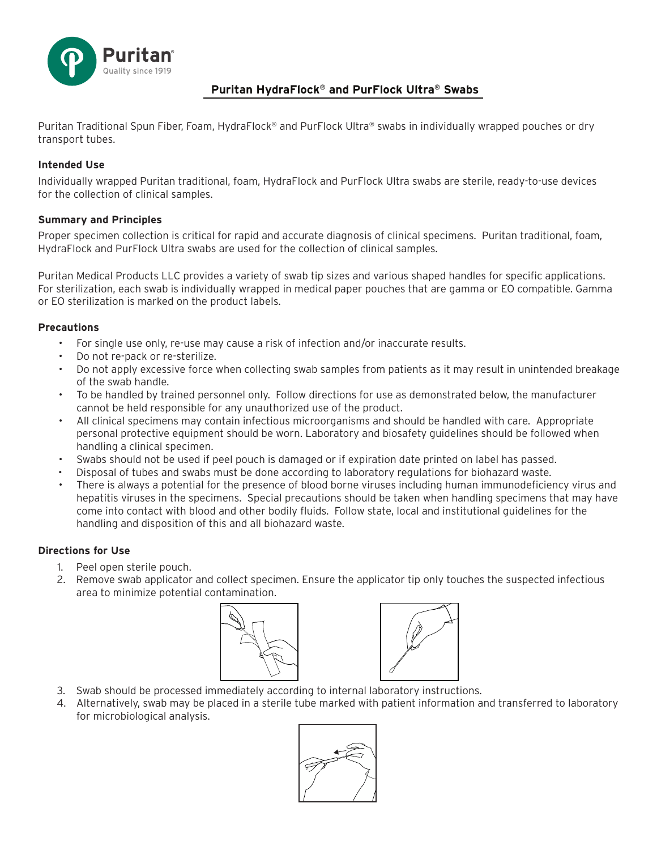

# **Puritan HydraFlock® and PurFlock Ultra® Swabs**

Puritan Traditional Spun Fiber, Foam, HydraFlock® and PurFlock Ultra® swabs in individually wrapped pouches or dry transport tubes.

## **Intended Use**

Individually wrapped Puritan traditional, foam, HydraFlock and PurFlock Ultra swabs are sterile, ready-to-use devices for the collection of clinical samples.

# **Summary and Principles**

Proper specimen collection is critical for rapid and accurate diagnosis of clinical specimens. Puritan traditional, foam, HydraFlock and PurFlock Ultra swabs are used for the collection of clinical samples.

Puritan Medical Products LLC provides a variety of swab tip sizes and various shaped handles for specific applications. For sterilization, each swab is individually wrapped in medical paper pouches that are gamma or EO compatible. Gamma or EO sterilization is marked on the product labels.

### **Precautions**

- For single use only, re-use may cause a risk of infection and/or inaccurate results.
- Do not re-pack or re-sterilize.
- Do not apply excessive force when collecting swab samples from patients as it may result in unintended breakage of the swab handle.
- To be handled by trained personnel only. Follow directions for use as demonstrated below, the manufacturer cannot be held responsible for any unauthorized use of the product.
- All clinical specimens may contain infectious microorganisms and should be handled with care. Appropriate personal protective equipment should be worn. Laboratory and biosafety guidelines should be followed when handling a clinical specimen.
- Swabs should not be used if peel pouch is damaged or if expiration date printed on label has passed.
- Disposal of tubes and swabs must be done according to laboratory regulations for biohazard waste.
- There is always a potential for the presence of blood borne viruses including human immunodeficiency virus and hepatitis viruses in the specimens. Special precautions should be taken when handling specimens that may have come into contact with blood and other bodily fluids. Follow state, local and institutional guidelines for the handling and disposition of this and all biohazard waste.

### **Directions for Use**

- 1. Peel open sterile pouch.
- 2. Remove swab applicator and collect specimen. Ensure the applicator tip only touches the suspected infectious area to minimize potential contamination.





- 3. Swab should be processed immediately according to internal laboratory instructions.
- 4. Alternatively, swab may be placed in a sterile tube marked with patient information and transferred to laboratory for microbiological analysis.